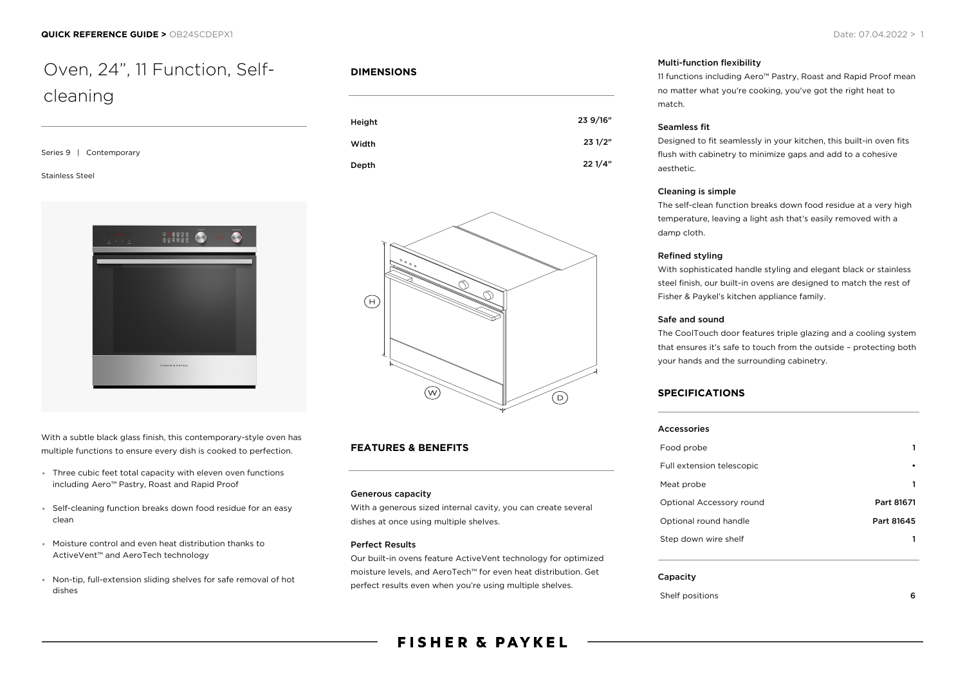# Oven, 24", 11 Function, Selfcleaning

| Series 9 | Contemporary |
|----------|--------------|
|          |              |

#### Stainless Steel



With a subtle black glass finish, this contemporary-style oven has multiple functions to ensure every dish is cooked to perfection.

- Three cubic feet total capacity with eleven oven functions including Aero™ Pastry, Roast and Rapid Proof
- Self-cleaning function breaks down food residue for an easy clean
- Moisture control and even heat distribution thanks to ActiveVent™ and AeroTech technology
- Non-tip, full-extension sliding shelves for safe removal of hot dishes

### **DIMENSIONS**





## **FEATURES & BENEFITS**

#### Generous capacity

With a generous sized internal cavity, you can create several dishes at once using multiple shelves.

#### Perfect Results

Our built-in ovens feature ActiveVent technology for optimized moisture levels, and AeroTech™ for even heat distribution. Get perfect results even when you're using multiple shelves.

#### Multi-function flexibility

11 functions including Aero™ Pastry, Roast and Rapid Proof mean no matter what you're cooking, you've got the right heat to match.

#### Seamless fit

Designed to fit seamlessly in your kitchen, this built-in oven fits flush with cabinetry to minimize gaps and add to a cohesive aesthetic.

#### Cleaning is simple

The self-clean function breaks down food residue at a very high temperature, leaving a light ash that's easily removed with a damp cloth.

#### Refined styling

With sophisticated handle styling and elegant black or stainless steel finish, our built-in ovens are designed to match the rest of Fisher & Paykel's kitchen appliance family.

#### Safe and sound

The CoolTouch door features triple glazing and a cooling system that ensures it's safe to touch from the outside – protecting both your hands and the surrounding cabinetry.

#### **SPECIFICATIONS**

| Accessories               |            |
|---------------------------|------------|
| Food probe                |            |
| Full extension telescopic |            |
| Meat probe                |            |
| Optional Accessory round  | Part 81671 |
| Optional round handle     | Part 81645 |
| Step down wire shelf      |            |

#### Capacity

#### Shelf positions 6

# **FISHER & PAYKEL**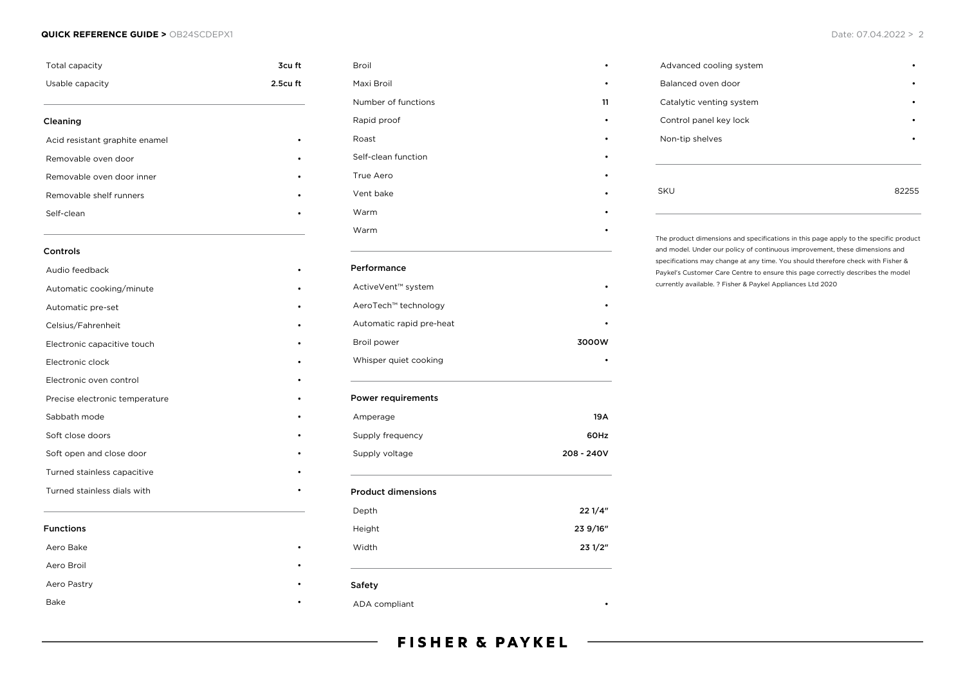#### **QUICK REFERENCE GUIDE >** OB24SCDEPX1 **Date: 07.04.2022 > 2**

| Total capacity                 | 3cu ft   |
|--------------------------------|----------|
| Usable capacity                | 2.5cu ft |
| Cleaning                       |          |
| Acid resistant graphite enamel |          |
| Removable oven door            |          |
| Removable oven door inner      |          |
| Removable shelf runners        |          |
| Self-clean                     |          |
| Controls                       |          |
| Audio feedback                 |          |
| Automatic cooking/minute       |          |
| Automatic pre-set              |          |
| Celsius/Fahrenheit             |          |
| Electronic capacitive touch    |          |
| Electronic clock               |          |
| Electronic oven control        |          |
| Precise electronic temperature |          |
| Sabbath mode                   |          |
| Soft close doors               |          |
| Soft open and close door       |          |
| Turned stainless capacitive    |          |
| Turned stainless dials with    |          |
| <b>Functions</b>               |          |
| Aero Bake                      |          |
| Aero Broil                     |          |
| Aero Pastry                    |          |
| <b>Bake</b>                    |          |

| Broil                          |            |
|--------------------------------|------------|
| Maxi Broil                     |            |
| Number of functions            | 11         |
| Rapid proof                    |            |
| Roast                          |            |
| Self-clean function            |            |
| True Aero                      |            |
| Vent bake                      |            |
| Warm                           |            |
| Warm                           |            |
| Performance                    |            |
| ActiveVent <sup>™</sup> system |            |
| AeroTech™ technology           |            |
| Automatic rapid pre-heat       |            |
| Broil power                    | 3000W      |
| Whisper quiet cooking          |            |
| <b>Power requirements</b>      |            |
| Amperage                       | 19A        |
| Supply frequency               | 60Hz       |
| Supply voltage                 | 208 - 240V |
| <b>Product dimensions</b>      |            |
| Depth                          | 22 1/4"    |
| Height                         | 23 9/16"   |
| Width                          | 23 1/2"    |
| Safety                         |            |
| ADA compliant                  |            |

| Advanced cooling system  |   |
|--------------------------|---|
| Balanced oven door       |   |
| Catalytic venting system | ٠ |
| Control panel key lock   | ٠ |
| Non-tip shelves          |   |
|                          |   |
|                          |   |
| SKU                      |   |

The product dimensions and specifications in this page apply to the specific product and model. Under our policy of continuous improvement, these dimensions and specifications may change at any time. You should therefore check with Fisher & Paykel's Customer Care Centre to ensure this page correctly describes the model currently available. ? Fisher & Paykel Appliances Ltd 2020